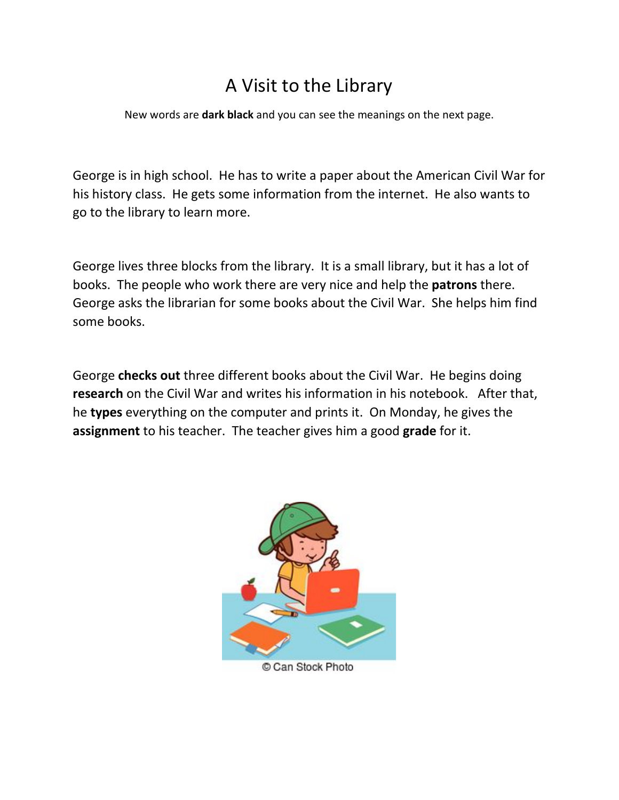## A Visit to the Library

New words are **dark black** and you can see the meanings on the next page.

George is in high school. He has to write a paper about the American Civil War for his history class. He gets some information from the internet. He also wants to go to the library to learn more.

George lives three blocks from the library. It is a small library, but it has a lot of books. The people who work there are very nice and help the **patrons** there. George asks the librarian for some books about the Civil War. She helps him find some books.

George **checks out** three different books about the Civil War. He begins doing **research** on the Civil War and writes his information in his notebook. After that, he **types** everything on the computer and prints it. On Monday, he gives the **assignment** to his teacher.The teacher gives him a good **grade** for it.



Can Stock Photo